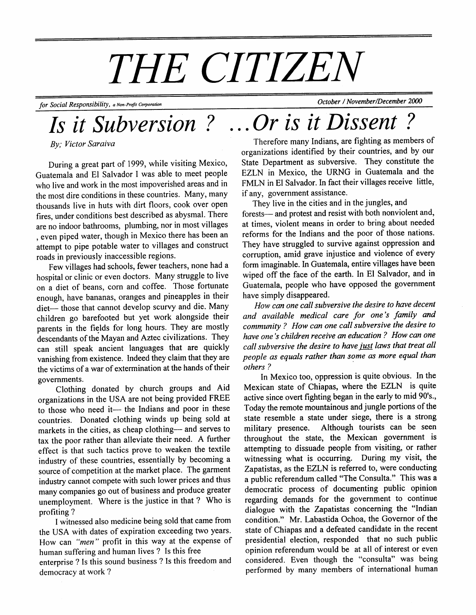# THE CITIZEN

for Social Responsibility, a Non-Profit Corporation **and Computer 2000** of the Connection of December 2

## Is it Subversion ? ... Or is it Dissent?

By; Victor Saraiva

During a great part of 1999, while visiting Mexico, Guatemala and El Salvador I was able to meet people who live and work in the most impoverished areas and in the most dire conditions in these countries. Many, many thousands live in huts with dirt floors, cook over open fires, under conditions best described as abysmal. There are no indoor bathrooms, plumbing, nor in most villages , even piped water, though in Mexico there has been an attempt to pipe potable water to villages and construct roads in previously inaccessible regions.

Few villages had schools, fewer teachers, none had a hospital or clinic or even doctors. Many struggle to live on a diet of beans, corn and coffee. Those fortunate enough, have bananas, oranges and pineapples in their diet- those that cannot develop scurvy and die. Many children go barefooted but yet work alongside their parents in the fields for long hours. They are mostly descendants of the Mayan and Aztec civilizations. They can still speak ancient languages that are quickly vanishing from existence. Indeed they claim that they are the victims of a war of extermination at the hands of their governments.

Clothing donated by church groups and Aid organizations in the USA are not being provided FREE to those who need it- the Indians and poor in these countries. Donated clothing winds up being sold at markets in the cities, as cheap clothing- and serves to tax the poor rather than alleviate their need. A further effect is that such tactics prove to weaken the textile industry of these countries, essentially by becoming a source of competition at the market place. The garment industry cannot compete with such lower prices and thus many companies go out of business and produce greater unemployment. Where is the justice in that ? Who is profiting ?

I witnessed also medicine being sold that came from the USA with dates of expiration exceeding two years. How can "men" profit in this way at the expense of human suffering and human lives ? Is this free enterprise ? Is this sound business ? Is this freedom and democracy at work ?

Therefore many Indians, are fighting as members of organizations identified by their countries, and by our State Department as subversive. They constitute the EZLN in Mexico, the URNG in Guatemala and the FMLN in El Salvador. In fact their villages receive little, if any, government assistance.

They live in the cities and in the jungles, and forests- and protest and resist with both nonviolent and, at times, violent means in order to bring about needed reforms for the Indians and the poor of those nations. They have struggled to survive against oppression and corruption, amid grave injustice and violence of every form imaginable. In Guatemala, entire villages have been wiped off the face of the earth. In El Salvador, and in Guatemala, people who have opposed the government have simply disappeared.

How can one call subversive the desire to have decent and available medical care for one's family and community ? How can one call subversive the desire to have one's children receive an education? How can one call subversive the desire to have just laws that treat all people as equals rather than some as more equal than others ?

In Mexico too, oppression is quite obvious. In the Mexican state of Chiapas, where the EZLN is quite active since overt fighting began in the early to mid 90's., Today the remote mountainous and jungle portions of the state resemble a state under siege, there is a strong military presence. Although tourists can be seen throughout the state, the Mexican government is attempting to dissuade people from visiting, or rather witnessing what is occurring. During my visit, the Zapatistas, as the EZLN is referred to, were conducting a public referendum called "The Consulta." This was a democratic process of documenting public opinion regarding demands for the government to continue dialogue with the Zapatistas concerning the "Indian condition." Mr. Labastida Ochoa, the Governor of the state of Chiapas and a defeated candidate in the recent presidential election, responded that no such public opinion referendum would be at all of interest or even considered. Even though the "consulta" was being performed by many members of international human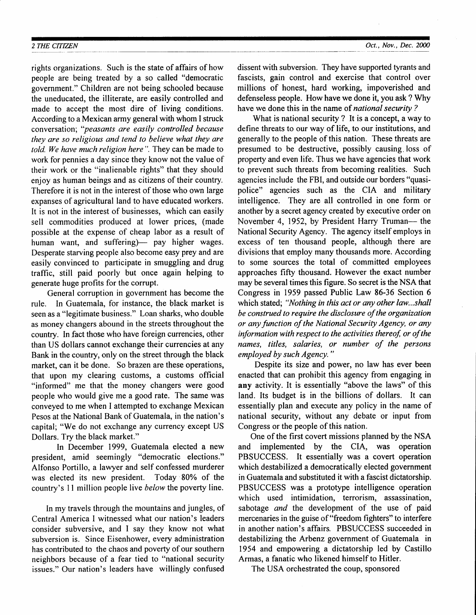rights organizations. Such is the state of affairs of how people are being treated by a so called "democratic government." Children are not being schooled because the uneducated, the illiterate, are easily controlled and made to accept the most dire of living conditions. According to a Mexican army general with whom I struck conversation; "peasants are easily controlled because they are so religious and tend to believe what they are told. We have much religion here". They can be made to work for pennies a day since they know not the value of their work or the "inalienable rights" that they should enjoy as human beings and as citizens of their country. Therefore it is not in the interest of those who own large expanses of agricultural land to have educated workers. It is not in the interest of businesses, which can easily sell commodities produced at lower prices, (made possible at the expense of cheap labor as a result of human want, and suffering)- pay higher wages. Desperate starving people also become easy prey and are easily convinced to participate in smuggling and drug traffic, still paid poorly but once again helping to generate huge profits for the corrupt.

General corruption in government has become the rule. In Guatemala, for instance, the black market is seen as a "legitimate business." Loan sharks, who double as money changers abound in the streets throughout the country. In fact those who have foreign currencies, other than US dollars cannot exchange their currencies at any Bank in the country, only on the street through the black market, can it be done. So brazen are these operations, that upon my clearing customs, a customs official "informed" me that the money changers were good people who would give me a good rate. The same was conveyed to me when I attempted to exchange Mexican Pesos at the National Bank of Guatemala, in the nation's capital; "We do not exchange any currency except US Dollars. Try the black market."

In December 1999, Guatemala elected a new president, amid seemingly "democratic elections." Alfonso Portillo, a lawyer and self confessed murderer was elected its new president. Today 80% of the country's 11 million people live *below* the poverty line.

In my travels through the mountains and jungles, of Central America I witnessed what our nation's leaders consider subversive, and I say they know not what subversion is. Since Eisenhower, every administration has contributed to the chaos and poverty of our southern neighbors because of a fear tied to "national security issues." Our nation's leaders have willingly confused

dissent with subversion. They have supported tyrants and fascists, gain control and exercise that control over millions of honest, hard working, impoverished and defenseless people. How have we done it, you ask ? Why have we done this in the name of *national security* ?

What is national security ? It is a concept, a way to define threats to our way of life, to our institutions, and generally to the people of this nation. These threats are presumed to be destructive, possibly causing.loss of property and even life. Thus we have agencies that work to prevent such threats from becoming realities. Such agencies include the FBI, and outside our borders "quasipolice" agencies such as the CIA and military intelligence. They are all controlled in one form or another by a secret agency created by executive order on November 4, 1952, by President Harry Truman- the National Security Agency. The agency itself employs in excess of ten thousand people, although there are divisions that employ many thousands more. According to some sources the total of committed employees approaches fifty thousand. However the exact number may be several times this figure. So secret is the NSA that Congress in 1959 passed Public Law 86-36 Section 6 which stated; "Nothing in this act or any other law...shall be construed to require the disclosure of the organization or any function of the National Security Agency, or any information with respect to the activities thereof, or of the names, titles, salaries, or number of the persons employed by such Agency."

Despite its size and power, no law has ever been enacted that can prohibit this agency from engaging in any activity. It is essentially "above the laws" of this land. Its budget is in the billions of dollars. It can essentially plan and execute any policy in the name of national security, without any debate or input from Congress or the people of this nation.

One of the first covert missions planned by the NSA and implemented by the CIA, was operation PBSUCCESS. It essentially was a covert operation which destabilized a democratically elected government in Guatemala and substituted it with a fascist dictatorship. PBSUCCESS was a prototype intelligence operation which used intimidation, terrorism, assassination, sabotage and the development of the use of paid mercenaries in the guise of "freedom fighters" to interfere in another nation's affairs. PBSUCCESS succeeded in destabilizing the Arbenz government of Guatemala in 1954 and empowering a dictatorship led by Castillo Armas, a fanatic who likened himself to Hitler.

The USA orchestrated the coup, sponsored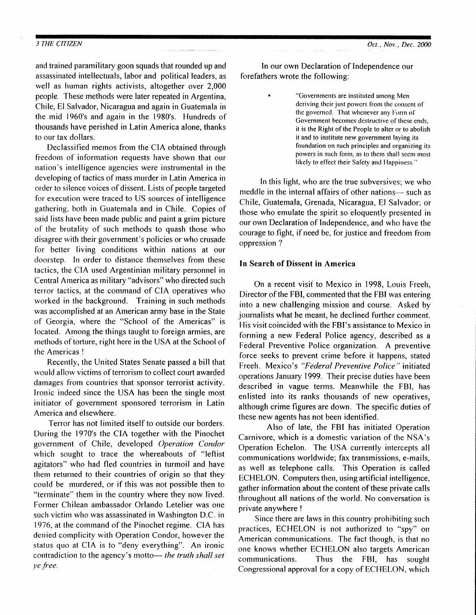### 3 THE CITIZEN

and trained paramilitary goon squads that rounded up and assassinated intellectuals, labor and political leaders, as well as human rights activists, altogether over 2,000 people. These methods were later repeated in Argentina, Chile, El Salvador, Nicaragua and again in Guatemala in the mid  $1960's$  and again in the  $1980's$ . Hundreds of thousands have perished in Latin America alone, thanks to our tax dollars.

Declassified memos from the CIA obtained through freedom of information requests have shown that our nation's intelligence agencies were instrumental in the developing of tactics of mass murder in Latin America in order to silence voices of dissent. Lists of people targeted for execution were traced to US sources of intelligence gathering. both in Guatemala and in Chile. Copies of said lists have been made public and paint a grim picture of the brutality of such methods to quash those who disagree with their governrnent's policies or who crusade for better living conditions within nations at our doorstep. In order to distance themselves from these tactics, the CIA used Argentinian military personnel in Central America as military "advisors" who directed such terror tactics, at the command of CIA operatives who worked in the background. Training in such methods was accomplished at an American army base in the State of Georgia, where the "School of the Americas" is located. Among the things taught to foreign armies, are methods of torture, right here in the USA at the School of the Americas !

Recently, the United States Senate passed a bill that would allow victims of terrorism to collect court awarded damages from countries that sponsor terrorist activity. Ironic indeed since the USA has been the single most initiator of government sponsored terrorism in Latin America and elsewhere.

Terror has not limited itself to outside our borders. During the 1970's the CIA together with the Pinochet government of Chile, developed Operation Condor which sought to trace the whereabouts of "leftist agitators" who had fled countries in turmoil and have them returned to their countries of origin so that they could be murdered, or if this was not possible then to "terminate" them in the country where they now lived. Former Chilean ambassador Orlando Letelier was one such victim who was assassinated in Washington D.C. in 1976, at the command of the Pinochet regime. CIA has denied complicity with Operation Condor, however the status quo at CIA is to "deny everything". An ironic contradiction to the agency's motto- the truth shall set ye free.

In our own Declaration of Independence our forefathers wrote the following:

> "Governments are instituted among Men deriving their just powers from the consent of the governed. That whenever any Form of Government becomes destructive of these ends, it is the Right of the People to alter or to abolish it and to institute new government laying its foundation on such principles and organizing its powers in such form, as to them shall seem most likely to effect their Safety and Happiness."

In this light, who are the true subversives; we who meddle in the internal affairs of other nations- such as Chile, Guatemala, Grenada, Nicaragua, El Salvador; or those who emulate the spirit so eloquently presented in our own Declaration of Independence, and who have the courage to fight, if need be, for justice and freedom from oppression ?

### In Search of Dissent in America

On a recent visif to Mexico in 1998, Louis Freeh, Director of the FBI, commented that the FBI was entering into a new challenging mission and course. Asked by journalists what he meant, he declined further comment. His visit coincided with the FBI's assistance to Mexico in forming a new Federal Police agency, described as a Federal Preventive Police organization. A preventive force seeks to prevent crime before it happens, stated Freeh. Mexico's "Federal Preventive Police " initiated operations January 1999. Their precise duties have been described in vague terms. Meanwhile the FBI, has enlisted into its ranks thousands of new operatives, although crime figures are down. The specific duties of these new agents has not been identified.

Also of late, the FBI has initiated Operation Carnivore, which is a domestic variation of the NSA's Operation Echelon. The USA currently intercepts all conrmunications worldwide; fax transmissions, e-mails, as well as telephone calls. This Operation is called ECHELON. Computers then, using artificial intelligence, gather information about the content of these private calls throughout all nations of the world. No conversation is private anywhere !

Since there are laws in this country prohibiting such practices, ECHELON is not authorized to "spy" on American communications. The fact though, is that no one knows whether ECHELON also targets American communications. Thus the FBI, has sought Congressional approval for a copy of ECHELON, which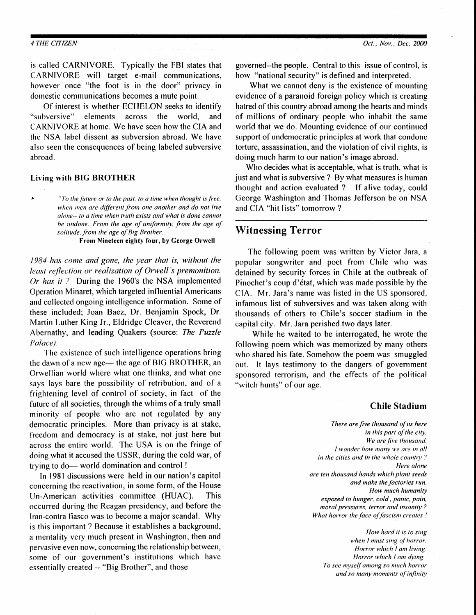### 4 THE CITIZEN

is called CARNIVORE. Typically the FBI states that CARNIVORE will target e-mail communications, however once "the foot is in the door" privacy in domestic communications becomes a mute point.

Of interest is whether ECHELON seeks to identify "subversive" elements across the world, and CARNIVORE at home. We have seen how the CIA and the NSA label dissent as subversion abroad. We have also seen the consequences of being labeled subversive abroad.

### Living with BIG BROTHER

"To the future or to the past, to a time when thought is free, when men are different from one another and do not live alone-- to a time when truth exists and what is done cannot be undone. From the age of uniformity, from the age of solitude, from the age of Big Brother...

From Nineteen eighty four, by George Orwell

1984 has come and gone, the year that is, without the least reflection or realization of Orwell's premonition. Or has it ? During the 1960's the NSA implemented Operation Minaret, which targeted influential Americans and collected ongoing intelligence information. Some of these included; Joan Baez, Dr. Benjamin Spock, Dr. Martin Luther King Jr., Eldridge Cleaver, the Reverend Abernathy, and leading Quakers (source: The Puzzle Palace).

The existence of such intelligence operations bring the dawn of a new age— the age of BIG BROTHER, an Orwellian world where what one thinks, and what one says lays bare the possibility of retribution, and of a frightening level of control of society, in fact of the future of all societies, through the whims of a truly small minority of people who are not regulated by any democratic principles. More than privacy is at stake, freedom and democracy is at stake, not just here but across the entire world. The USA is on the fringe of doing what it accused the USSR, during the cold war, of trying to do— world domination and control !

In 1981 discussions were held in our nation's capitol concerning the reactivation, in some form, of the House Un-American activities committee (HUAC). This occurred during the Reagan presidency, and before the Iran-contra fiasco was to become a major scandal. Why is this important? Because it establishes a background, a mentality very much present in Washington, then and pervasive even now, concerning the relationship between, some of our government's institutions which have essentially created -- "Big Brother", and those

governed--the people. Central to this issue of control, is how "national security" is defined and interpreted.

What we cannot deny is the existence of mounting evidence of a paranoid foreign policy which is creating hatred of this country abroad among the hearts and minds of millions of ordinary people who inhabit the same world that we do. Mounting evidence of our continued support of undemocratic principles at work that condone torture, assassination, and the violation of civil rights, is doing much harm to our nation's image abroad.

Who decides what is acceptable, what is truth, what is just and what is subversive ? By what measures is human thought and action evaluated ? If alive today, could George Washington and Thomas Jefferson be on NSA and CIA "hit lists" tomorrow ?

### Witnessing Terror

The following poem was written by Victor Jara, a popular songwriter and poet from Chile who was detained by security forces in Chile at the outbreak of Pinochet's coup d'état, which was made possible by the CIA. Mr. Jara's name was listed in the US sponsored, infamous list of subversives and was taken along with thousands of others to Chile's soccer stadium in the capital city. Mr. Jara perished two days later.

While he waited to be interrogated, he wrote the following poem which was memorized by many others who shared his fate. Somehow the poem was smuggled out. It lays testimony to the dangers of government sponsored terrorism, and the effects of the political "witch hunts" of our age.

### Chile Stadium

There are five thousand of us here in this part of the city. We are five thousand. I wonder how many we are in all in the cities and in the whole country? Here alone are ten thousand hands which plant seeds and make the factories run. How much humanity exposed to hunger, cold , panic, pain, moral pressures, terror and insanity? What horror the face of fascism creates !

> How hard it is to sing when I must sing of horror. Horror which I am living. Horror which I am dying. To see myself among so much horror and so many moments of infinity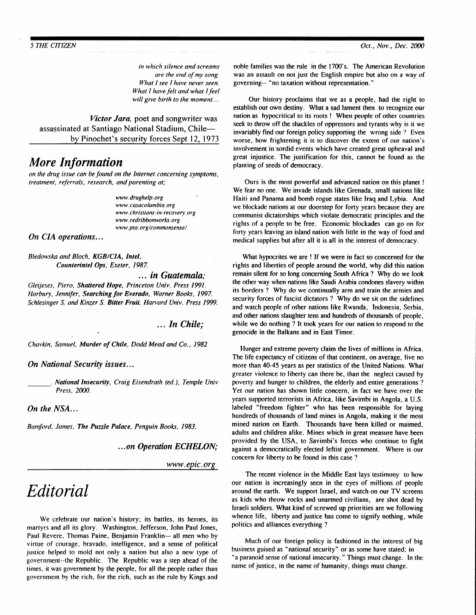in which silence and screams are the end of my song. What I see I have never seen. What I have felt and what I feel will give birth to the moment....

*Victor Jara*, poet and songwriter was assassinated at Santiago National Stadium, Chileby Pinochet's security forces Sept 12, 1973

### More Information

on the drug issue can be found on the Internet concerning symptoms, treatment, referrals, research, and parenting at;

> www.drughelp.org<br>www.casacolumbia.org www.christians-in-recovery.org www.redribbonworks.org www.pta.org/commonsense/

On CIA operations...

Bledowska and Bloch, KGB/CIA, Intel, Counterintel Ops, Exeter, 1987.

 $\ldots$  in Guatemala:

Gleijeses, Piero, Shattered Hope, Princeton Univ. Press 1991. Harbury, Jennifer, Searching for Everado, Warner Books, 1997. Schlesinger S. and Kinzer S. Bitter Fruit. Harvard Univ. Press 1999.

... In Chile;

Chavkin, Samuel, Murder of Chile, Dodd Mead and Co., 1982

On National Security issues...

National Insecurity, Craig Eisendrath (ed.), Temple Univ Press, 2000.

On the NSA...

Bamford, James, The Puzzle Palace, Penguin Books, 1983.

...on Operation ECHELON;

www.epic.org

### Editorial

We celebrate our nation's history; its battles, its heroes, its martyrs and all its glory. Washington, Jefferson, John Paul Jones, Paul Revere, Thomas Paine, Benjamin Franklin- all men who by virtue of courage, bravado, intelligence, and a sense of political justice helped to mold not only a nation but also a new type of government--the Republic. The Republic was a step ahead of the times, it was government by the people, for all the people rather than government by the rich, for the rich, such as the rule by Kings and noble families was the rule in the 1700's. The American Revolution was an assault on not just the English empire but also on a way of governing-- "no taxation without representation. "

Our history proclaims that we as a people, had the right to establish our own destiny. What a sad lament then to recognize our nation as hypocritical to its roots ! When people of other countries seek to throw off the shackles of oppressors and tyrants why is it we invariably find our foreign policy supporting the wrong side ? Even worse, how frightening it is to discover the extent of our nation's involvement in sordid events which have created great upheaval and great injustice. The justification for this, cannot be found as the planting of seeds of democracy.

Ours is the most powerful and advanced nation on this planet ! We fear no one. We invade islands like Grenada, small nations like Haiti and Panama and bomb rogue states like Iraq and Lybia. And we blockade nations at our doorstep for forty years because they are communist dictatorships which violate democratic principles and the rights of a people to be free. Economic blockades can go on for forty years leaving an island nation with little in the way of food and medical supplies but after all it is all in the interest of democracy.

What hypocrites we are ! If we were in fact so concerned for the rights and liberties of people around the world, why did this nation remain silent for so long concerning South Africa ? Why do we look the other way when nations like Saudi Arabia condones slavery within its borders ? Why do we continually arm and train the armies and security forces of fascist dictators ? Why do we sit on the sidelines and watch people of other nations like Rwanda, lndonesia, Serbia, and other nations slaughter tens and hundreds of thousands of people, while we do nothing ? It took years for our nation to respond to the genocide in the Balkans and in East Timor.

Hunger and extreme poverty claim the lives of millions in Africa. The life expectancy of citizens of that continent, on average, live no more than 40-45 years as per statistics of the United Nations. What greater violence to liberty can there be, than the neglect caused by poverty and hunger to children, the elderly and entire generations ? Yet our nation has shown little concern, in fact we have over the years supported terrorists in Africa, like Savimbi in Angola, a U.S. labeled "freedom fighter" who has been responsible for laying hundreds of thousands of land mines in Angola, making it the most mined nation on Earth. Thousands have been killed or maimed, adults and children alike. Mines which in great measure have been provided by the USA, to Savimbi's forces who continue to fight against a democratically elected leftist government. Where is our concern for liberty to be found in this case ?

The recent violence in the Middle East lays testimony to how our nation is increasingly seen in the eyes of millions of people around the earth. We support Israel, and watch on our TV screens as kids who throw rocks and unarmed civilians, are shot dead by Israeli soldiers. What kind of screwed up priorities are we following whence life, liberty and justice has come to signify nothing, while politics and alliances everything ?

Much of our foreign policy is fashioned in the interest of big business guised as "national security" or as some have stated: in "a paranoid sense of national insecurity." Things must change. In the name of justice, in the name of humanity, things must change.